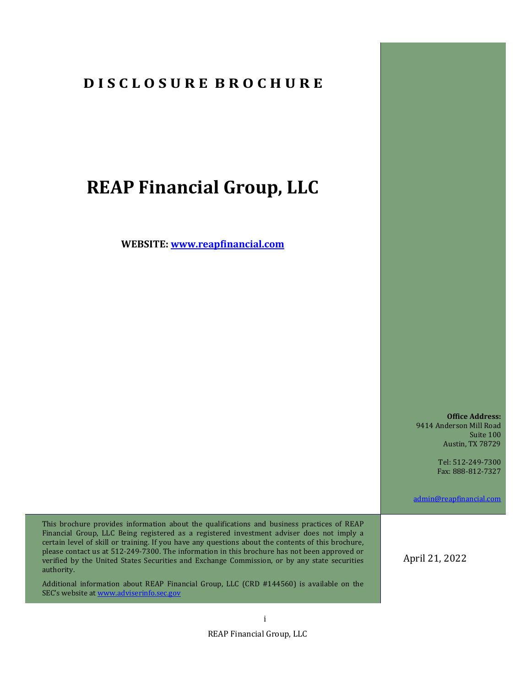# **D I S C L O S U R E B R O C H U R E**

# **REAP Financial Group, LLC**

**WEBSITE: www.reapfinancial.com**

**Office Address:** 9414 Anderson Mill Road Suite 100 Austin, TX 78729

> Tel: 512-249-7300 Fax: 888-812-7327

admin@reapfinancial.com

This brochure provides information about the qualifications and business practices of REAP Financial Group, LLC Being registered as a registered investment adviser does not imply a certain level of skill or training. If you have any questions about the contents of this brochure, please contact us at 512-249-7300. The information in this brochure has not been approved or verified by the United States Securities and Exchange Commission, or by any state securities authority.

Additional information about REAP Financial Group, LLC (CRD #144560) is available on the SEC's website at www.adviserinfo.sec.gov

April 21, 2022

REAP Financial Group, LLC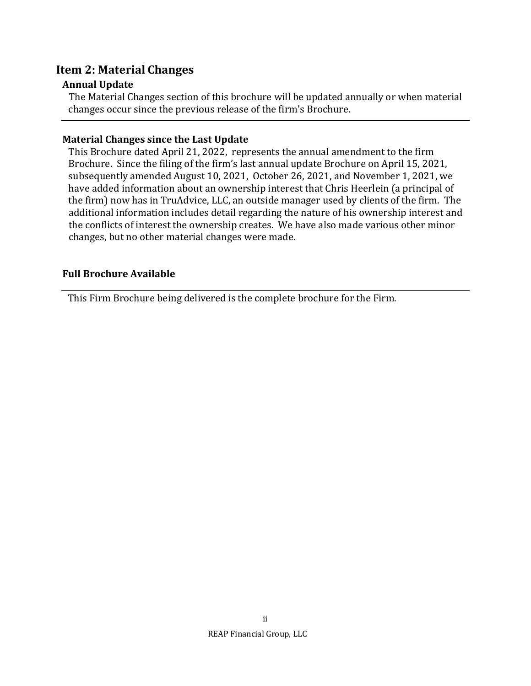## **Item 2: Material Changes**

## **Annual Update**

The Material Changes section of this brochure will be updated annually or when material changes occur since the previous release of the firm's Brochure.

## **Material Changes since the Last Update**

This Brochure dated April 21, 2022, represents the annual amendment to the firm Brochure. Since the filing of the firm's last annual update Brochure on April 15, 2021, subsequently amended August 10, 2021, October 26, 2021, and November 1, 2021, we have added information about an ownership interest that Chris Heerlein (a principal of the firm) now has in TruAdvice, LLC, an outside manager used by clients of the firm. The additional information includes detail regarding the nature of his ownership interest and the conflicts of interest the ownership creates. We have also made various other minor changes, but no other material changes were made.

## **Full Brochure Available**

This Firm Brochure being delivered is the complete brochure for the Firm.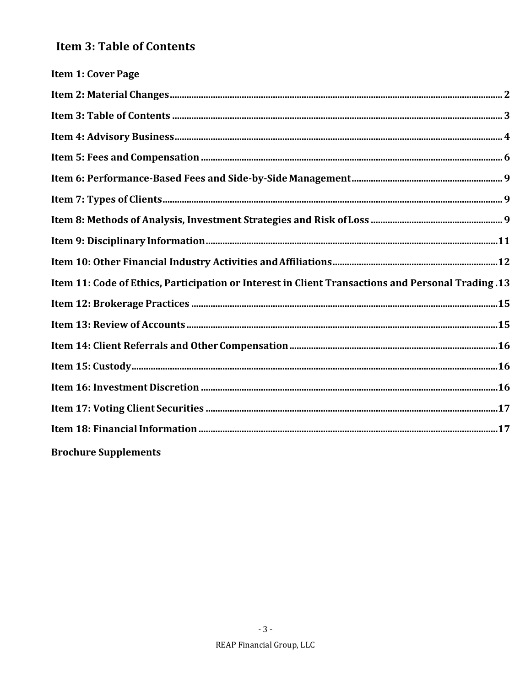# **Item 3: Table of Contents**

| <b>Item 1: Cover Page</b>                                                                          |  |
|----------------------------------------------------------------------------------------------------|--|
|                                                                                                    |  |
|                                                                                                    |  |
|                                                                                                    |  |
|                                                                                                    |  |
|                                                                                                    |  |
|                                                                                                    |  |
|                                                                                                    |  |
|                                                                                                    |  |
|                                                                                                    |  |
| 13. Item 11: Code of Ethics, Participation or Interest in Client Transactions and Personal Trading |  |
|                                                                                                    |  |
|                                                                                                    |  |
|                                                                                                    |  |
|                                                                                                    |  |
|                                                                                                    |  |
|                                                                                                    |  |
|                                                                                                    |  |
| <b>Brochure Supplements</b>                                                                        |  |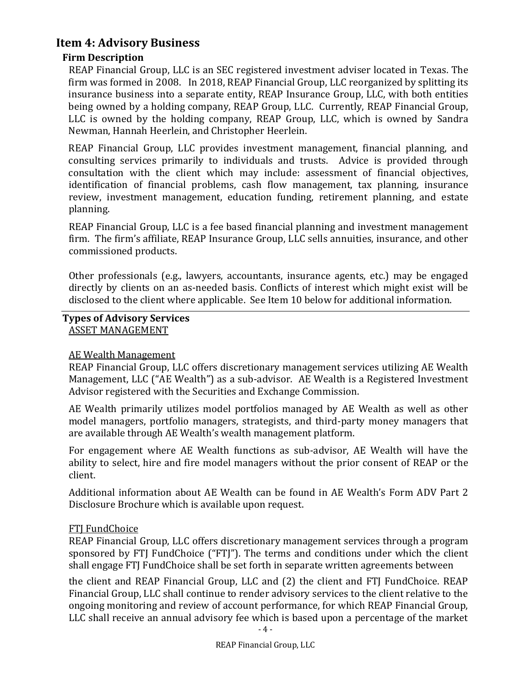## **Item 4: Advisory Business**

## **Firm Description**

REAP Financial Group, LLC is an SEC registered investment adviser located in Texas. The firm was formed in 2008. In 2018, REAP Financial Group, LLC reorganized by splitting its insurance business into a separate entity, REAP Insurance Group, LLC, with both entities being owned by a holding company, REAP Group, LLC. Currently, REAP Financial Group, LLC is owned by the holding company, REAP Group, LLC, which is owned by Sandra Newman, Hannah Heerlein, and Christopher Heerlein.

REAP Financial Group, LLC provides investment management, financial planning, and consulting services primarily to individuals and trusts. Advice is provided through consultation with the client which may include: assessment of financial objectives, identification of financial problems, cash flow management, tax planning, insurance review, investment management, education funding, retirement planning, and estate planning.

REAP Financial Group, LLC is a fee based financial planning and investment management firm. The firm's affiliate, REAP Insurance Group, LLC sells annuities, insurance, and other commissioned products.

Other professionals (e.g., lawyers, accountants, insurance agents, etc.) may be engaged directly by clients on an as-needed basis. Conflicts of interest which might exist will be disclosed to the client where applicable. See Item 10 below for additional information.

#### **Types of Advisory Services** ASSET MANAGEMENT

#### AE Wealth Management

REAP Financial Group, LLC offers discretionary management services utilizing AE Wealth Management, LLC ("AE Wealth") as a sub-advisor. AE Wealth is a Registered Investment Advisor registered with the Securities and Exchange Commission.

AE Wealth primarily utilizes model portfolios managed by AE Wealth as well as other model managers, portfolio managers, strategists, and third-party money managers that are available through AE Wealth's wealth management platform.

For engagement where AE Wealth functions as sub-advisor, AE Wealth will have the ability to select, hire and fire model managers without the prior consent of REAP or the client.

Additional information about AE Wealth can be found in AE Wealth's Form ADV Part 2 Disclosure Brochure which is available upon request.

#### **FTI FundChoice**

REAP Financial Group, LLC offers discretionary management services through a program sponsored by FTJ FundChoice ("FTJ"). The terms and conditions under which the client shall engage FTJ FundChoice shall be set forth in separate written agreements between

the client and REAP Financial Group, LLC and (2) the client and FTJ FundChoice. REAP Financial Group, LLC shall continue to render advisory services to the client relative to the ongoing monitoring and review of account performance, for which REAP Financial Group, LLC shall receive an annual advisory fee which is based upon a percentage of the market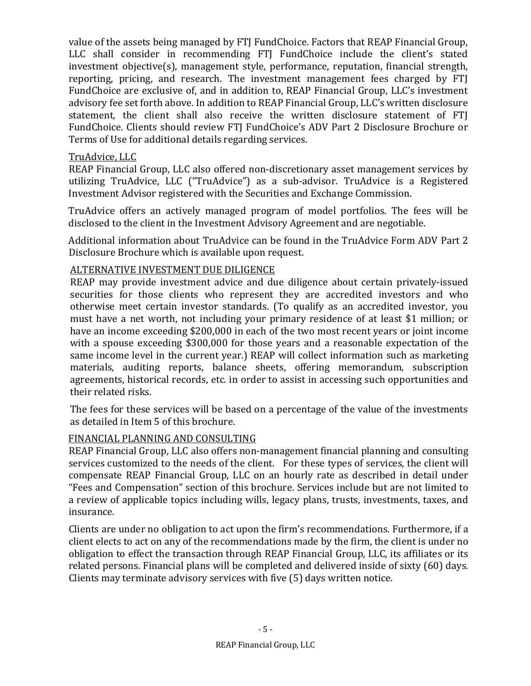value of the assets being managed by FTJ FundChoice. Factors that REAP Financial Group, LLC shall consider in recommending FTJ FundChoice include the client's stated investment objective(s), management style, performance, reputation, financial strength, reporting, pricing, and research. The investment management fees charged by FTJ FundChoice are exclusive of, and in addition to, REAP Financial Group, LLC's investment advisory fee set forth above. In addition to REAP Financial Group, LLC's written disclosure statement, the client shall also receive the written disclosure statement of FTI FundChoice. Clients should review FTJ FundChoice's ADV Part 2 Disclosure Brochure or Terms of Use for additional details regarding services.

## TruAdvice, LLC

REAP Financial Group, LLC also offered non-discretionary asset management services by utilizing TruAdvice, LLC ("TruAdvice") as a sub-advisor. TruAdvice is a Registered Investment Advisor registered with the Securities and Exchange Commission.

TruAdvice offers an actively managed program of model portfolios. The fees will be disclosed to the client in the Investment Advisory Agreement and are negotiable.

Additional information about TruAdvice can be found in the TruAdvice Form ADV Part 2 Disclosure Brochure which is available upon request.

## ALTERNATIVE INVESTMENT DUE DILIGENCE

REAP may provide investment advice and due diligence about certain privately-issued securities for those clients who represent they are accredited investors and who otherwise meet certain investor standards. (To qualify as an accredited investor, you must have a net worth, not including your primary residence of at least \$1 million; or have an income exceeding \$200,000 in each of the two most recent years or joint income with a spouse exceeding \$300,000 for those years and a reasonable expectation of the same income level in the current year.) REAP will collect information such as marketing materials, auditing reports, balance sheets, offering memorandum, subscription agreements, historical records, etc. in order to assist in accessing such opportunities and their related risks.

The fees for these services will be based on a percentage of the value of the investments as detailed in Item 5 of this brochure.

## FINANCIAL PLANNING AND CONSULTING

REAP Financial Group, LLC also offers non-management financial planning and consulting services customized to the needs of the client. For these types of services, the client will compensate REAP Financial Group, LLC on an hourly rate as described in detail under "Fees and Compensation" section of this brochure. Services include but are not limited to a review of applicable topics including wills, legacy plans, trusts, investments, taxes, and insurance.

Clients are under no obligation to act upon the firm's recommendations. Furthermore, if a client elects to act on any of the recommendations made by the firm, the client is under no obligation to effect the transaction through REAP Financial Group, LLC, its affiliates or its related persons. Financial plans will be completed and delivered inside of sixty (60) days. Clients may terminate advisory services with five (5) days written notice.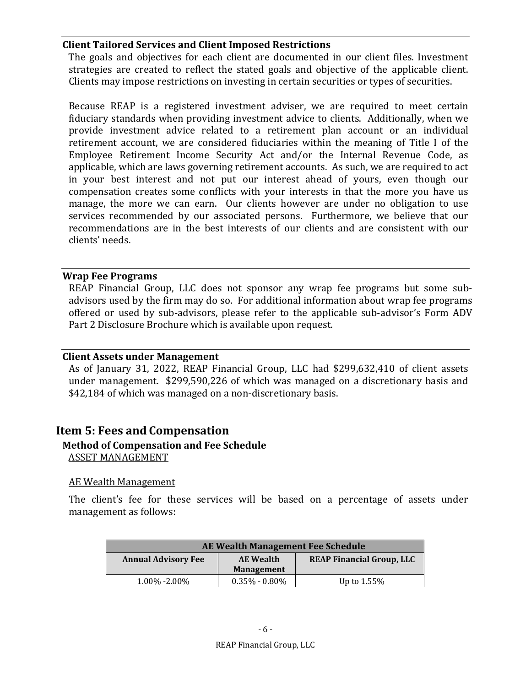#### **Client Tailored Services and Client Imposed Restrictions**

The goals and objectives for each client are documented in our client files. Investment strategies are created to reflect the stated goals and objective of the applicable client. Clients may impose restrictions on investing in certain securities or types of securities.

Because REAP is a registered investment adviser, we are required to meet certain fiduciary standards when providing investment advice to clients. Additionally, when we provide investment advice related to a retirement plan account or an individual retirement account, we are considered fiduciaries within the meaning of Title I of the Employee Retirement Income Security Act and/or the Internal Revenue Code, as applicable, which are laws governing retirement accounts. As such, we are required to act in your best interest and not put our interest ahead of yours, even though our compensation creates some conflicts with your interests in that the more you have us manage, the more we can earn. Our clients however are under no obligation to use services recommended by our associated persons. Furthermore, we believe that our recommendations are in the best interests of our clients and are consistent with our clients' needs.

#### **Wrap Fee Programs**

REAP Financial Group, LLC does not sponsor any wrap fee programs but some subadvisors used by the firm may do so. For additional information about wrap fee programs offered or used by sub-advisors, please refer to the applicable sub-advisor's Form ADV Part 2 Disclosure Brochure which is available upon request.

#### **Client Assets under Management**

As of January 31, 2022, REAP Financial Group, LLC had \$299,632,410 of client assets under management. \$299,590,226 of which was managed on a discretionary basis and \$42,184 of which was managed on a non-discretionary basis.

## **Item 5: Fees and Compensation**

#### **Method of Compensation and Fee Schedule** ASSET MANAGEMENT

#### AE Wealth Management

The client's fee for these services will be based on a percentage of assets under management as follows:

| AE Wealth Management Fee Schedule |                   |                                  |  |
|-----------------------------------|-------------------|----------------------------------|--|
| <b>Annual Advisory Fee</b>        | <b>AE</b> Wealth  | <b>REAP Financial Group, LLC</b> |  |
|                                   | Management        |                                  |  |
| $1.00\% - 2.00\%$                 | $0.35\% - 0.80\%$ | Up to $1.55\%$                   |  |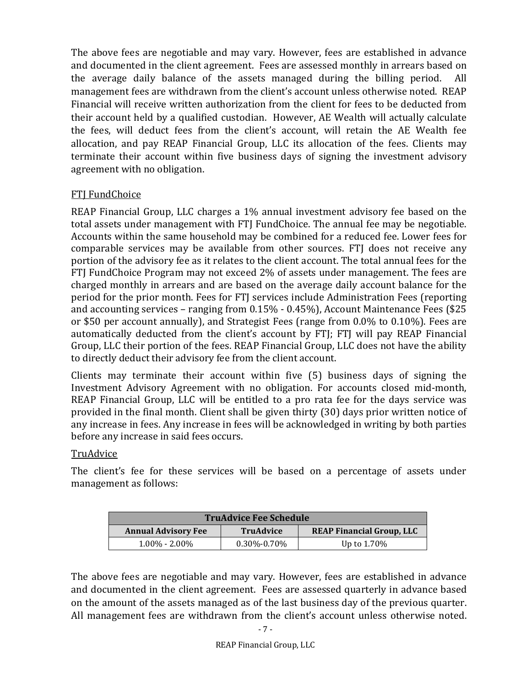The above fees are negotiable and may vary. However, fees are established in advance and documented in the client agreement. Fees are assessed monthly in arrears based on the average daily balance of the assets managed during the billing period. All management fees are withdrawn from the client's account unless otherwise noted. REAP Financial will receive written authorization from the client for fees to be deducted from their account held by a qualified custodian. However, AE Wealth will actually calculate the fees, will deduct fees from the client's account, will retain the AE Wealth fee allocation, and pay REAP Financial Group, LLC its allocation of the fees. Clients may terminate their account within five business days of signing the investment advisory agreement with no obligation.

## FTJ FundChoice

REAP Financial Group, LLC charges a 1% annual investment advisory fee based on the total assets under management with FTJ FundChoice. The annual fee may be negotiable. Accounts within the same household may be combined for a reduced fee. Lower fees for comparable services may be available from other sources. FTJ does not receive any portion of the advisory fee as it relates to the client account. The total annual fees for the FTJ FundChoice Program may not exceed 2% of assets under management. The fees are charged monthly in arrears and are based on the average daily account balance for the period for the prior month. Fees for FTJ services include Administration Fees (reporting and accounting services – ranging from 0.15% - 0.45%), Account Maintenance Fees (\$25 or \$50 per account annually), and Strategist Fees (range from 0.0% to 0.10%). Fees are automatically deducted from the client's account by FTJ; FTJ will pay REAP Financial Group, LLC their portion of the fees. REAP Financial Group, LLC does not have the ability to directly deduct their advisory fee from the client account.

Clients may terminate their account within five (5) business days of signing the Investment Advisory Agreement with no obligation. For accounts closed mid-month, REAP Financial Group, LLC will be entitled to a pro rata fee for the days service was provided in the final month. Client shall be given thirty (30) days prior written notice of any increase in fees. Any increase in fees will be acknowledged in writing by both parties before any increase in said fees occurs.

#### **TruAdvice**

The client's fee for these services will be based on a percentage of assets under management as follows:

| <b>TruAdvice Fee Schedule</b> |                   |                                  |  |
|-------------------------------|-------------------|----------------------------------|--|
| <b>Annual Advisory Fee</b>    | <b>TruAdvice</b>  | <b>REAP Financial Group, LLC</b> |  |
| $1.00\% - 2.00\%$             | $0.30\% - 0.70\%$ | Up to $1.70\%$                   |  |

The above fees are negotiable and may vary. However, fees are established in advance and documented in the client agreement. Fees are assessed quarterly in advance based on the amount of the assets managed as of the last business day of the previous quarter. All management fees are withdrawn from the client's account unless otherwise noted.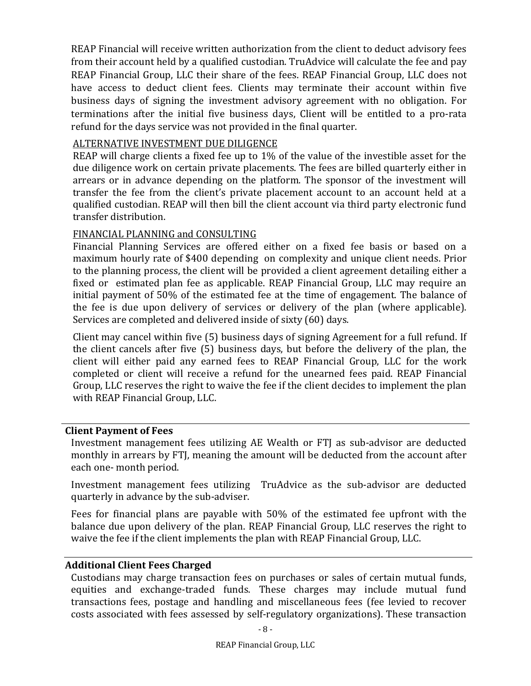REAP Financial will receive written authorization from the client to deduct advisory fees from their account held by a qualified custodian. TruAdvice will calculate the fee and pay REAP Financial Group, LLC their share of the fees. REAP Financial Group, LLC does not have access to deduct client fees. Clients may terminate their account within five business days of signing the investment advisory agreement with no obligation. For terminations after the initial five business days, Client will be entitled to a pro-rata refund for the days service was not provided in the final quarter.

#### ALTERNATIVE INVESTMENT DUE DILIGENCE

REAP will charge clients a fixed fee up to 1% of the value of the investible asset for the due diligence work on certain private placements. The fees are billed quarterly either in arrears or in advance depending on the platform. The sponsor of the investment will transfer the fee from the client's private placement account to an account held at a qualified custodian. REAP will then bill the client account via third party electronic fund transfer distribution.

#### FINANCIAL PLANNING and CONSULTING

Financial Planning Services are offered either on a fixed fee basis or based on a maximum hourly rate of \$400 depending on complexity and unique client needs. Prior to the planning process, the client will be provided a client agreement detailing either a fixed or estimated plan fee as applicable. REAP Financial Group, LLC may require an initial payment of 50% of the estimated fee at the time of engagement. The balance of the fee is due upon delivery of services or delivery of the plan (where applicable). Services are completed and delivered inside of sixty (60) days.

Client may cancel within five (5) business days of signing Agreement for a full refund. If the client cancels after five (5) business days, but before the delivery of the plan, the client will either paid any earned fees to REAP Financial Group, LLC for the work completed or client will receive a refund for the unearned fees paid. REAP Financial Group, LLC reserves the right to waive the fee if the client decides to implement the plan with REAP Financial Group, LLC.

#### **Client Payment of Fees**

Investment management fees utilizing AE Wealth or FTJ as sub-advisor are deducted monthly in arrears by FTJ, meaning the amount will be deducted from the account after each one- month period.

Investment management fees utilizing TruAdvice as the sub-advisor are deducted quarterly in advance by the sub-adviser.

Fees for financial plans are payable with 50% of the estimated fee upfront with the balance due upon delivery of the plan. REAP Financial Group, LLC reserves the right to waive the fee if the client implements the plan with REAP Financial Group, LLC.

#### **Additional Client Fees Charged**

Custodians may charge transaction fees on purchases or sales of certain mutual funds, equities and exchange-traded funds. These charges may include mutual fund transactions fees, postage and handling and miscellaneous fees (fee levied to recover costs associated with fees assessed by self-regulatory organizations). These transaction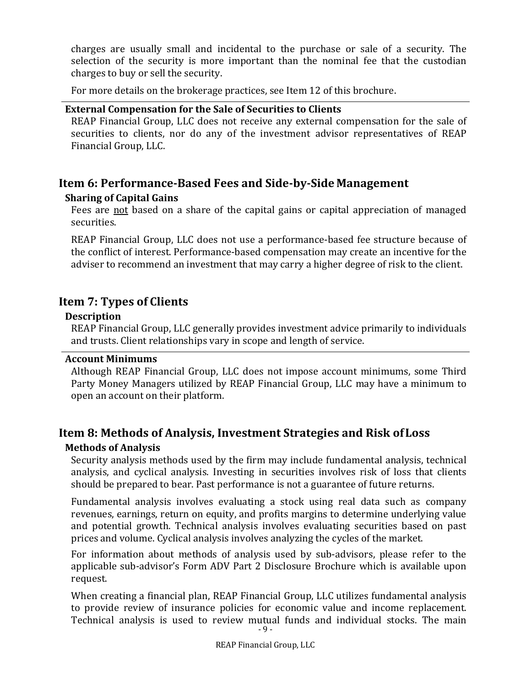charges are usually small and incidental to the purchase or sale of a security. The selection of the security is more important than the nominal fee that the custodian charges to buy or sell the security.

For more details on the brokerage practices, see Item 12 of this brochure.

#### **External Compensation for the Sale of Securities to Clients**

REAP Financial Group, LLC does not receive any external compensation for the sale of securities to clients, nor do any of the investment advisor representatives of REAP Financial Group, LLC.

## **Item 6: Performance‐Based Fees and Side‐by‐Side Management**

#### **Sharing of Capital Gains**

Fees are not based on a share of the capital gains or capital appreciation of managed securities.

REAP Financial Group, LLC does not use a performance-based fee structure because of the conflict of interest. Performance-based compensation may create an incentive for the adviser to recommend an investment that may carry a higher degree of risk to the client.

## **Item 7: Types of Clients**

#### **Description**

REAP Financial Group, LLC generally provides investment advice primarily to individuals and trusts. Client relationships vary in scope and length of service.

#### **Account Minimums**

Although REAP Financial Group, LLC does not impose account minimums, some Third Party Money Managers utilized by REAP Financial Group, LLC may have a minimum to open an account on their platform.

## **Item 8: Methods of Analysis, Investment Strategies and Risk ofLoss Methods of Analysis**

Security analysis methods used by the firm may include fundamental analysis, technical analysis, and cyclical analysis. Investing in securities involves risk of loss that clients should be prepared to bear. Past performance is not a guarantee of future returns.

Fundamental analysis involves evaluating a stock using real data such as company revenues, earnings, return on equity, and profits margins to determine underlying value and potential growth. Technical analysis involves evaluating securities based on past prices and volume. Cyclical analysis involves analyzing the cycles of the market.

For information about methods of analysis used by sub-advisors, please refer to the applicable sub-advisor's Form ADV Part 2 Disclosure Brochure which is available upon request.

- 9 - When creating a financial plan, REAP Financial Group, LLC utilizes fundamental analysis to provide review of insurance policies for economic value and income replacement. Technical analysis is used to review mutual funds and individual stocks. The main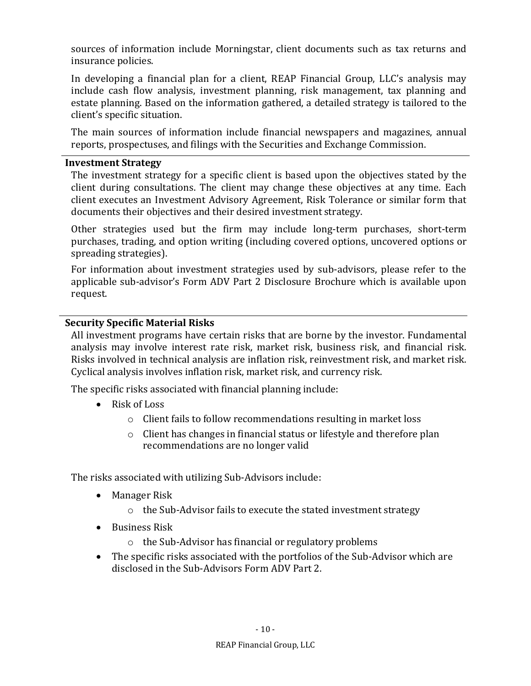sources of information include Morningstar, client documents such as tax returns and insurance policies.

In developing a financial plan for a client, REAP Financial Group, LLC's analysis may include cash flow analysis, investment planning, risk management, tax planning and estate planning. Based on the information gathered, a detailed strategy is tailored to the client's specific situation.

The main sources of information include financial newspapers and magazines, annual reports, prospectuses, and filings with the Securities and Exchange Commission.

#### **Investment Strategy**

The investment strategy for a specific client is based upon the objectives stated by the client during consultations. The client may change these objectives at any time. Each client executes an Investment Advisory Agreement, Risk Tolerance or similar form that documents their objectives and their desired investment strategy.

Other strategies used but the firm may include long-term purchases, short-term purchases, trading, and option writing (including covered options, uncovered options or spreading strategies).

For information about investment strategies used by sub-advisors, please refer to the applicable sub-advisor's Form ADV Part 2 Disclosure Brochure which is available upon request.

#### **Security Specific Material Risks**

All investment programs have certain risks that are borne by the investor. Fundamental analysis may involve interest rate risk, market risk, business risk, and financial risk. Risks involved in technical analysis are inflation risk, reinvestment risk, and market risk. Cyclical analysis involves inflation risk, market risk, and currency risk.

The specific risks associated with financial planning include:

- Risk of Loss
	- o Client fails to follow recommendations resulting in market loss
	- o Client has changes in financial status or lifestyle and therefore plan recommendations are no longer valid

The risks associated with utilizing Sub-Advisors include:

- Manager Risk
	- o the Sub-Advisor fails to execute the stated investment strategy
- Business Risk
	- o the Sub-Advisor has financial or regulatory problems
- The specific risks associated with the portfolios of the Sub-Advisor which are disclosed in the Sub-Advisors Form ADV Part 2.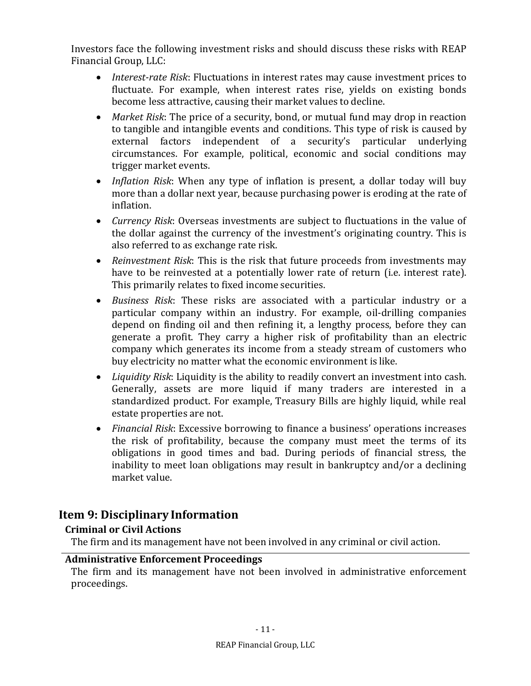Investors face the following investment risks and should discuss these risks with REAP Financial Group, LLC:

- *Interest‐rate Risk*: Fluctuations in interest rates may cause investment prices to fluctuate. For example, when interest rates rise, yields on existing bonds become less attractive, causing their market values to decline.
- *Market Risk*: The price of a security, bond, or mutual fund may drop in reaction to tangible and intangible events and conditions. This type of risk is caused by external factors independent of a security's particular underlying circumstances. For example, political, economic and social conditions may trigger market events.
- *Inflation Risk*: When any type of inflation is present, a dollar today will buy more than a dollar next year, because purchasing power is eroding at the rate of inflation.
- *Currency Risk*: Overseas investments are subject to fluctuations in the value of the dollar against the currency of the investment's originating country. This is also referred to as exchange rate risk.
- *Reinvestment Risk*: This is the risk that future proceeds from investments may have to be reinvested at a potentially lower rate of return (i.e. interest rate). This primarily relates to fixed income securities.
- *Business Risk*: These risks are associated with a particular industry or a particular company within an industry. For example, oil-drilling companies depend on finding oil and then refining it, a lengthy process, before they can generate a profit. They carry a higher risk of profitability than an electric company which generates its income from a steady stream of customers who buy electricity no matter what the economic environment is like.
- *Liquidity Risk*: Liquidity is the ability to readily convert an investment into cash. Generally, assets are more liquid if many traders are interested in a standardized product. For example, Treasury Bills are highly liquid, while real estate properties are not.
- *Financial Risk*: Excessive borrowing to finance a business' operations increases the risk of profitability, because the company must meet the terms of its obligations in good times and bad. During periods of financial stress, the inability to meet loan obligations may result in bankruptcy and/or a declining market value.

## **Item 9: Disciplinary Information**

## **Criminal or Civil Actions**

The firm and its management have not been involved in any criminal or civil action.

#### **Administrative Enforcement Proceedings**

The firm and its management have not been involved in administrative enforcement proceedings.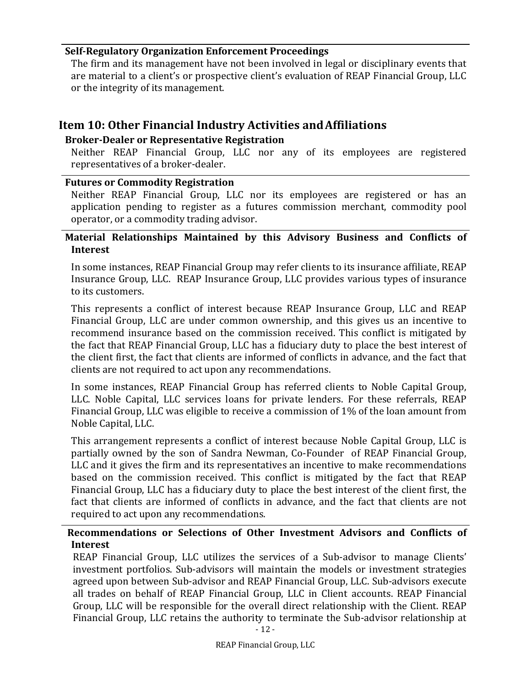#### **Self‐Regulatory Organization Enforcement Proceedings**

The firm and its management have not been involved in legal or disciplinary events that are material to a client's or prospective client's evaluation of REAP Financial Group, LLC or the integrity of its management.

## **Item 10: Other Financial Industry Activities andAffiliations**

## **Broker‐Dealer or Representative Registration**

Neither REAP Financial Group, LLC nor any of its employees are registered representatives of a broker-dealer.

#### **Futures or Commodity Registration**

Neither REAP Financial Group, LLC nor its employees are registered or has an application pending to register as a futures commission merchant, commodity pool operator, or a commodity trading advisor.

#### **Material Relationships Maintained by this Advisory Business and Conflicts of Interest**

In some instances, REAP Financial Group may refer clients to its insurance affiliate, REAP Insurance Group, LLC. REAP Insurance Group, LLC provides various types of insurance to its customers.

This represents a conflict of interest because REAP Insurance Group, LLC and REAP Financial Group, LLC are under common ownership, and this gives us an incentive to recommend insurance based on the commission received. This conflict is mitigated by the fact that REAP Financial Group, LLC has a fiduciary duty to place the best interest of the client first, the fact that clients are informed of conflicts in advance, and the fact that clients are not required to act upon any recommendations.

In some instances, REAP Financial Group has referred clients to Noble Capital Group, LLC. Noble Capital, LLC services loans for private lenders. For these referrals, REAP Financial Group, LLC was eligible to receive a commission of 1% of the loan amount from Noble Capital, LLC.

This arrangement represents a conflict of interest because Noble Capital Group, LLC is partially owned by the son of Sandra Newman, Co-Founder of REAP Financial Group, LLC and it gives the firm and its representatives an incentive to make recommendations based on the commission received. This conflict is mitigated by the fact that REAP Financial Group, LLC has a fiduciary duty to place the best interest of the client first, the fact that clients are informed of conflicts in advance, and the fact that clients are not required to act upon any recommendations.

## **Recommendations or Selections of Other Investment Advisors and Conflicts of Interest**

REAP Financial Group, LLC utilizes the services of a Sub-advisor to manage Clients' investment portfolios. Sub-advisors will maintain the models or investment strategies agreed upon between Sub-advisor and REAP Financial Group, LLC. Sub-advisors execute all trades on behalf of REAP Financial Group, LLC in Client accounts. REAP Financial Group, LLC will be responsible for the overall direct relationship with the Client. REAP Financial Group, LLC retains the authority to terminate the Sub-advisor relationship at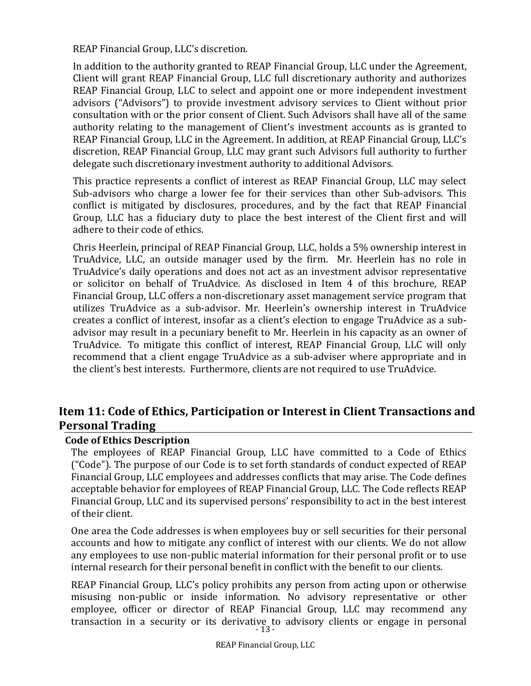REAP Financial Group, LLC's discretion.

In addition to the authority granted to REAP Financial Group, LLC under the Agreement, Client will grant REAP Financial Group, LLC full discretionary authority and authorizes REAP Financial Group, LLC to select and appoint one or more independent investment advisors ("Advisors") to provide investment advisory services to Client without prior consultation with or the prior consent of Client. Such Advisors shall have all of the same authority relating to the management of Client's investment accounts as is granted to REAP Financial Group, LLC in the Agreement. In addition, at REAP Financial Group, LLC's discretion, REAP Financial Group, LLC may grant such Advisors full authority to further delegate such discretionary investment authority to additional Advisors.

This practice represents a conflict of interest as REAP Financial Group, LLC may select Sub-advisors who charge a lower fee for their services than other Sub-advisors. This conflict is mitigated by disclosures, procedures, and by the fact that REAP Financial Group, LLC has a fiduciary duty to place the best interest of the Client first and will adhere to their code of ethics.

Chris Heerlein, principal of REAP Financial Group, LLC, holds a 5% ownership interest in TruAdvice, LLC, an outside manager used by the firm. Mr. Heerlein has no role in TruAdvice's daily operations and does not act as an investment advisor representative or solicitor on behalf of TruAdvice. As disclosed in Item 4 of this brochure, REAP Financial Group, LLC offers a non-discretionary asset management service program that utilizes TruAdvice as a sub-advisor. Mr. Heerlein's ownership interest in TruAdvice creates a conflict of interest, insofar as a client's election to engage TruAdvice as a subadvisor may result in a pecuniary benefit to Mr. Heerlein in his capacity as an owner of TruAdvice. To mitigate this conflict of interest, REAP Financial Group, LLC will only recommend that a client engage TruAdvice as a sub-adviser where appropriate and in the client's best interests. Furthermore, clients are not required to use TruAdvice.

## **Item 11: Code of Ethics, Participation or Interest in Client Transactions and Personal Trading**

#### **Code of Ethics Description**

The employees of REAP Financial Group, LLC have committed to a Code of Ethics ("Code"). The purpose of our Code is to set forth standards of conduct expected of REAP Financial Group, LLC employees and addresses conflicts that may arise. The Code defines acceptable behavior for employees of REAP Financial Group, LLC. The Code reflects REAP Financial Group, LLC and its supervised persons' responsibility to act in the best interest of their client.

One area the Code addresses is when employees buy or sell securities for their personal accounts and how to mitigate any conflict of interest with our clients. We do not allow any employees to use non-public material information for their personal profit or to use internal research for their personal benefit in conflict with the benefit to our clients.

- 13 - REAP Financial Group, LLC's policy prohibits any person from acting upon or otherwise misusing non-public or inside information. No advisory representative or other employee, officer or director of REAP Financial Group, LLC may recommend any transaction in a security or its derivative to advisory clients or engage in personal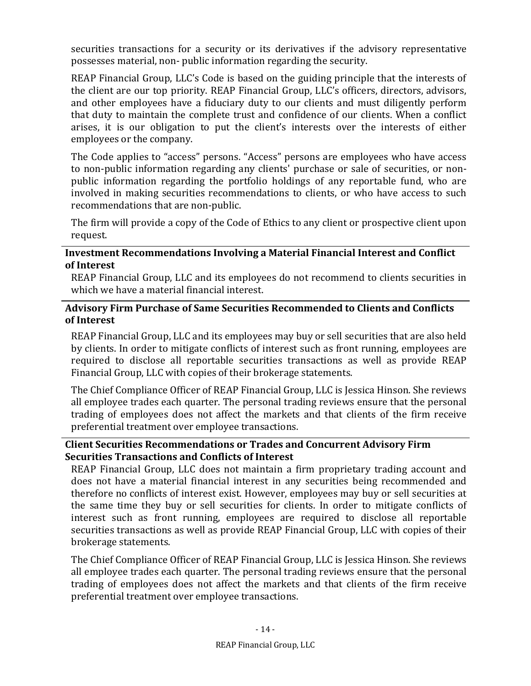securities transactions for a security or its derivatives if the advisory representative possesses material, non- public information regarding the security.

REAP Financial Group, LLC's Code is based on the guiding principle that the interests of the client are our top priority. REAP Financial Group, LLC's officers, directors, advisors, and other employees have a fiduciary duty to our clients and must diligently perform that duty to maintain the complete trust and confidence of our clients. When a conflict arises, it is our obligation to put the client's interests over the interests of either employees or the company.

The Code applies to "access" persons. "Access" persons are employees who have access to non-public information regarding any clients' purchase or sale of securities, or nonpublic information regarding the portfolio holdings of any reportable fund, who are involved in making securities recommendations to clients, or who have access to such recommendations that are non-public.

The firm will provide a copy of the Code of Ethics to any client or prospective client upon request.

#### **Investment Recommendations Involving a Material Financial Interest and Conflict of Interest**

REAP Financial Group, LLC and its employees do not recommend to clients securities in which we have a material financial interest.

#### **Advisory Firm Purchase of Same Securities Recommended to Clients and Conflicts of Interest**

REAP Financial Group, LLC and its employees may buy or sell securities that are also held by clients. In order to mitigate conflicts of interest such as front running, employees are required to disclose all reportable securities transactions as well as provide REAP Financial Group, LLC with copies of their brokerage statements.

The Chief Compliance Officer of REAP Financial Group, LLC is Jessica Hinson. She reviews all employee trades each quarter. The personal trading reviews ensure that the personal trading of employees does not affect the markets and that clients of the firm receive preferential treatment over employee transactions.

#### **Client Securities Recommendations or Trades and Concurrent Advisory Firm Securities Transactions and Conflicts of Interest**

REAP Financial Group, LLC does not maintain a firm proprietary trading account and does not have a material financial interest in any securities being recommended and therefore no conflicts of interest exist. However, employees may buy or sell securities at the same time they buy or sell securities for clients. In order to mitigate conflicts of interest such as front running, employees are required to disclose all reportable securities transactions as well as provide REAP Financial Group, LLC with copies of their brokerage statements.

The Chief Compliance Officer of REAP Financial Group, LLC is Jessica Hinson. She reviews all employee trades each quarter. The personal trading reviews ensure that the personal trading of employees does not affect the markets and that clients of the firm receive preferential treatment over employee transactions.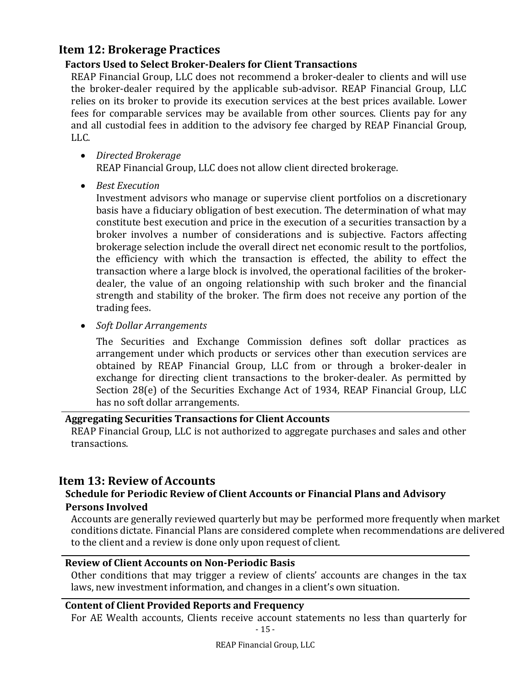## **Item 12: Brokerage Practices**

## **Factors Used to Select Broker‐Dealers for Client Transactions**

REAP Financial Group, LLC does not recommend a broker-dealer to clients and will use the broker-dealer required by the applicable sub-advisor. REAP Financial Group, LLC relies on its broker to provide its execution services at the best prices available. Lower fees for comparable services may be available from other sources. Clients pay for any and all custodial fees in addition to the advisory fee charged by REAP Financial Group, LLC.

*Directed Brokerage*

REAP Financial Group, LLC does not allow client directed brokerage.

*Best Execution*

Investment advisors who manage or supervise client portfolios on a discretionary basis have a fiduciary obligation of best execution. The determination of what may constitute best execution and price in the execution of a securities transaction by a broker involves a number of considerations and is subjective. Factors affecting brokerage selection include the overall direct net economic result to the portfolios, the efficiency with which the transaction is effected, the ability to effect the transaction where a large block is involved, the operational facilities of the brokerdealer, the value of an ongoing relationship with such broker and the financial strength and stability of the broker. The firm does not receive any portion of the trading fees.

*Soft Dollar Arrangements*

The Securities and Exchange Commission defines soft dollar practices as arrangement under which products or services other than execution services are obtained by REAP Financial Group, LLC from or through a broker-dealer in exchange for directing client transactions to the broker-dealer. As permitted by Section 28(e) of the Securities Exchange Act of 1934, REAP Financial Group, LLC has no soft dollar arrangements.

## **Aggregating Securities Transactions for Client Accounts**

REAP Financial Group, LLC is not authorized to aggregate purchases and sales and other transactions.

## **Item 13: Review of Accounts**

## **Schedule for Periodic Review of Client Accounts or Financial Plans and Advisory Persons Involved**

Accounts are generally reviewed quarterly but may be performed more frequently when market conditions dictate. Financial Plans are considered complete when recommendations are delivered to the client and a review is done only upon request of client.

#### **Review of Client Accounts on Non‐Periodic Basis**

Other conditions that may trigger a review of clients' accounts are changes in the tax laws, new investment information, and changes in a client's own situation.

## **Content of Client Provided Reports and Frequency**

For AE Wealth accounts, Clients receive account statements no less than quarterly for

- 15 -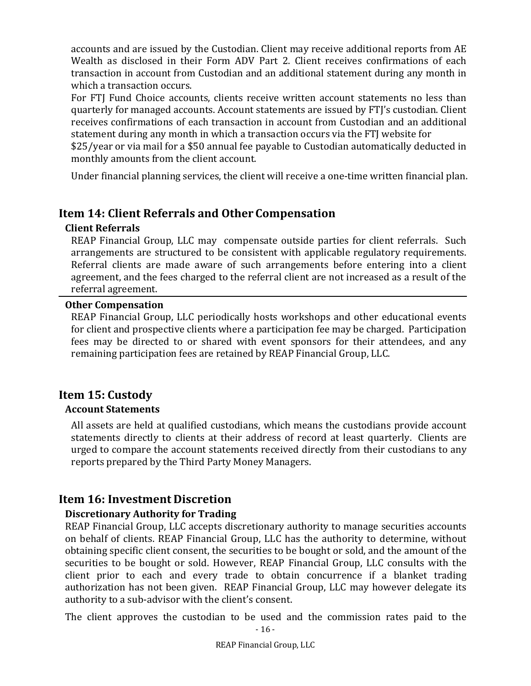accounts and are issued by the Custodian. Client may receive additional reports from AE Wealth as disclosed in their Form ADV Part 2. Client receives confirmations of each transaction in account from Custodian and an additional statement during any month in which a transaction occurs.

For FTJ Fund Choice accounts, clients receive written account statements no less than quarterly for managed accounts. Account statements are issued by FTJ's custodian. Client receives confirmations of each transaction in account from Custodian and an additional statement during any month in which a transaction occurs via the FTJ website for

\$25/year or via mail for a \$50 annual fee payable to Custodian automatically deducted in monthly amounts from the client account.

Under financial planning services, the client will receive a one-time written financial plan.

## **Item 14: Client Referrals and Other Compensation**

## **Client Referrals**

REAP Financial Group, LLC may compensate outside parties for client referrals. Such arrangements are structured to be consistent with applicable regulatory requirements. Referral clients are made aware of such arrangements before entering into a client agreement, and the fees charged to the referral client are not increased as a result of the referral agreement.

#### **Other Compensation**

REAP Financial Group, LLC periodically hosts workshops and other educational events for client and prospective clients where a participation fee may be charged. Participation fees may be directed to or shared with event sponsors for their attendees, and any remaining participation fees are retained by REAP Financial Group, LLC.

## **Item 15: Custody**

## **Account Statements**

All assets are held at qualified custodians, which means the custodians provide account statements directly to clients at their address of record at least quarterly. Clients are urged to compare the account statements received directly from their custodians to any reports prepared by the Third Party Money Managers.

## **Item 16: Investment Discretion**

## **Discretionary Authority for Trading**

REAP Financial Group, LLC accepts discretionary authority to manage securities accounts on behalf of clients. REAP Financial Group, LLC has the authority to determine, without obtaining specific client consent, the securities to be bought or sold, and the amount of the securities to be bought or sold. However, REAP Financial Group, LLC consults with the client prior to each and every trade to obtain concurrence if a blanket trading authorization has not been given. REAP Financial Group, LLC may however delegate its authority to a sub-advisor with the client's consent.

The client approves the custodian to be used and the commission rates paid to the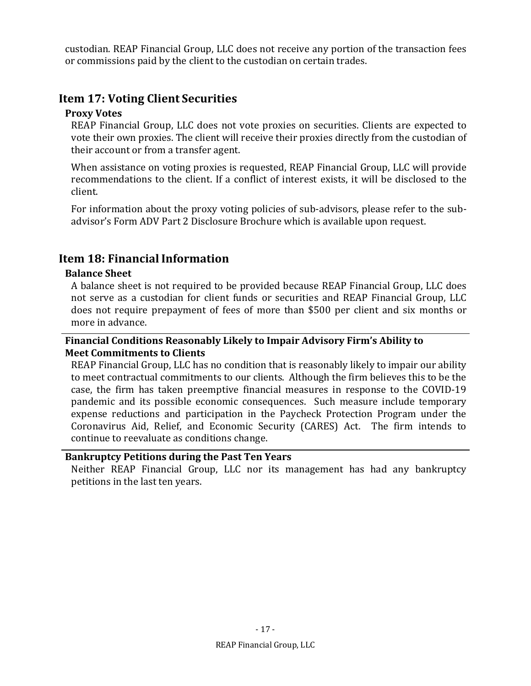custodian. REAP Financial Group, LLC does not receive any portion of the transaction fees or commissions paid by the client to the custodian on certain trades.

## **Item 17: Voting Client Securities**

#### **Proxy Votes**

REAP Financial Group, LLC does not vote proxies on securities. Clients are expected to vote their own proxies. The client will receive their proxies directly from the custodian of their account or from a transfer agent.

When assistance on voting proxies is requested, REAP Financial Group, LLC will provide recommendations to the client. If a conflict of interest exists, it will be disclosed to the client.

For information about the proxy voting policies of sub-advisors, please refer to the subadvisor's Form ADV Part 2 Disclosure Brochure which is available upon request.

## **Item 18: Financial Information**

## **Balance Sheet**

A balance sheet is not required to be provided because REAP Financial Group, LLC does not serve as a custodian for client funds or securities and REAP Financial Group, LLC does not require prepayment of fees of more than \$500 per client and six months or more in advance.

#### **Financial Conditions Reasonably Likely to Impair Advisory Firm's Ability to Meet Commitments to Clients**

REAP Financial Group, LLC has no condition that is reasonably likely to impair our ability to meet contractual commitments to our clients. Although the firm believes this to be the case, the firm has taken preemptive financial measures in response to the COVID-19 pandemic and its possible economic consequences. Such measure include temporary expense reductions and participation in the Paycheck Protection Program under the Coronavirus Aid, Relief, and Economic Security (CARES) Act. The firm intends to continue to reevaluate as conditions change.

#### **Bankruptcy Petitions during the Past Ten Years**

Neither REAP Financial Group, LLC nor its management has had any bankruptcy petitions in the last ten years.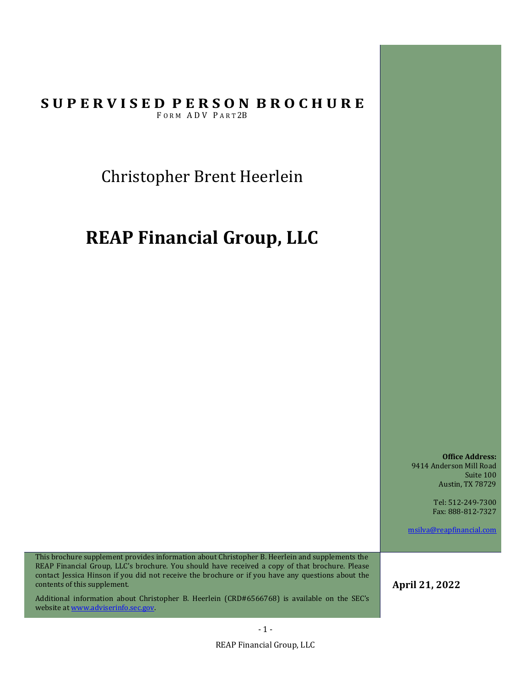Christopher Brent Heerlein

# **REAP Financial Group, LLC**

**Office Address:** 9414 Anderson Mill Road Suite 100 Austin, TX 78729

> Tel: 512-249-7300 Fax: 888-812-7327

msilva@reapfinancial.com

This brochure supplement provides information about Christopher B. Heerlein and supplements the REAP Financial Group, LLC's brochure. You should have received a copy of that brochure. Please contact Jessica Hinson if you did not receive the brochure or if you have any questions about the contents of this supplement.

Additional information about Christopher B. Heerlein (CRD#6566768) is available on the SEC's website at www.adviserinfo.sec.gov.

**April 21, 2022**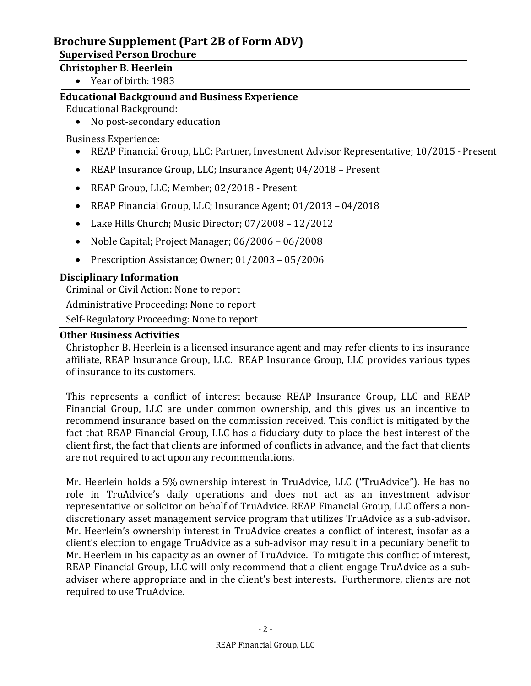## **Supervised Person Brochure**

## **Christopher B. Heerlein**

Year of birth: 1983

## **Educational Background and Business Experience**

Educational Background:

• No post-secondary education

Business Experience:

- REAP Financial Group, LLC; Partner, Investment Advisor Representative; 10/2015 Present
- REAP Insurance Group, LLC; Insurance Agent; 04/2018 Present
- REAP Group, LLC; Member; 02/2018 Present
- REAP Financial Group, LLC; Insurance Agent; 01/2013 04/2018
- Lake Hills Church; Music Director; 07/2008 12/2012
- Noble Capital; Project Manager; 06/2006 06/2008
- Prescription Assistance; Owner; 01/2003 05/2006

## **Disciplinary Information**

Criminal or Civil Action: None to report

Administrative Proceeding: None to report

Self-Regulatory Proceeding: None to report

## **Other Business Activities**

Christopher B. Heerlein is a licensed insurance agent and may refer clients to its insurance affiliate, REAP Insurance Group, LLC. REAP Insurance Group, LLC provides various types of insurance to its customers.

This represents a conflict of interest because REAP Insurance Group, LLC and REAP Financial Group, LLC are under common ownership, and this gives us an incentive to recommend insurance based on the commission received. This conflict is mitigated by the fact that REAP Financial Group, LLC has a fiduciary duty to place the best interest of the client first, the fact that clients are informed of conflicts in advance, and the fact that clients are not required to act upon any recommendations.

Mr. Heerlein holds a 5% ownership interest in TruAdvice, LLC ("TruAdvice"). He has no role in TruAdvice's daily operations and does not act as an investment advisor representative or solicitor on behalf of TruAdvice. REAP Financial Group, LLC offers a nondiscretionary asset management service program that utilizes TruAdvice as a sub-advisor. Mr. Heerlein's ownership interest in TruAdvice creates a conflict of interest, insofar as a client's election to engage TruAdvice as a sub-advisor may result in a pecuniary benefit to Mr. Heerlein in his capacity as an owner of TruAdvice. To mitigate this conflict of interest, REAP Financial Group, LLC will only recommend that a client engage TruAdvice as a subadviser where appropriate and in the client's best interests. Furthermore, clients are not required to use TruAdvice.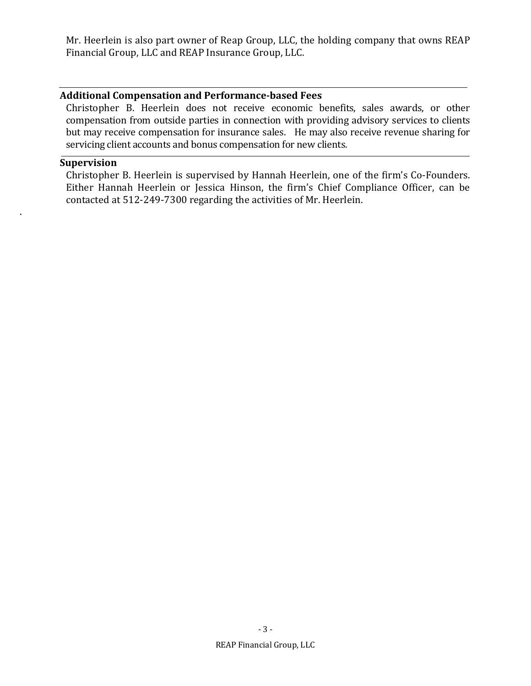Mr. Heerlein is also part owner of Reap Group, LLC, the holding company that owns REAP Financial Group, LLC and REAP Insurance Group, LLC.

#### **Additional Compensation and Performance‐based Fees**

Christopher B. Heerlein does not receive economic benefits, sales awards, or other compensation from outside parties in connection with providing advisory services to clients but may receive compensation for insurance sales. He may also receive revenue sharing for servicing client accounts and bonus compensation for new clients.

#### **Supervision**

.

Christopher B. Heerlein is supervised by Hannah Heerlein, one of the firm's Co-Founders. Either Hannah Heerlein or Jessica Hinson, the firm's Chief Compliance Officer, can be contacted at 512-249-7300 regarding the activities of Mr. Heerlein.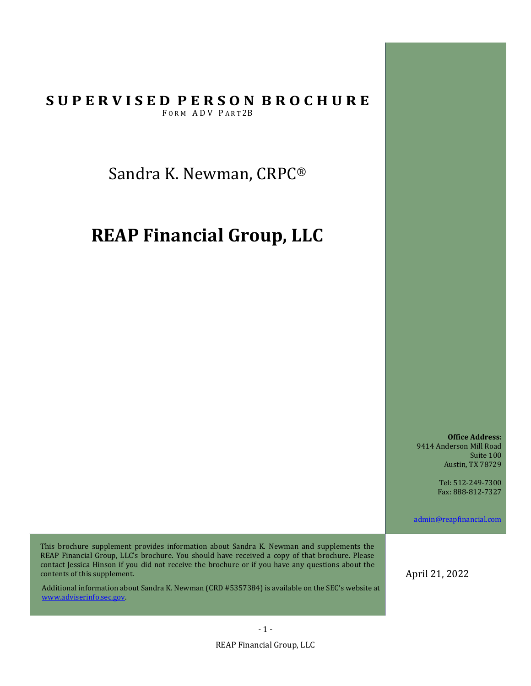Sandra K. Newman, CRPC®

# **REAP Financial Group, LLC**

**Office Address:** 9414 Anderson Mill Road Suite 100 Austin, TX 78729

> Tel: 512-249-7300 Fax: 888-812-7327

admin@reapfinancial.com

This brochure supplement provides information about Sandra K. Newman and supplements the REAP Financial Group, LLC's brochure. You should have received a copy of that brochure. Please contact Jessica Hinson if you did not receive the brochure or if you have any questions about the contents of this supplement.

Additional information about Sandra K. Newman (CRD #5357384) is available on the SEC's website at www.adviserinfo.sec.gov.

April 21, 2022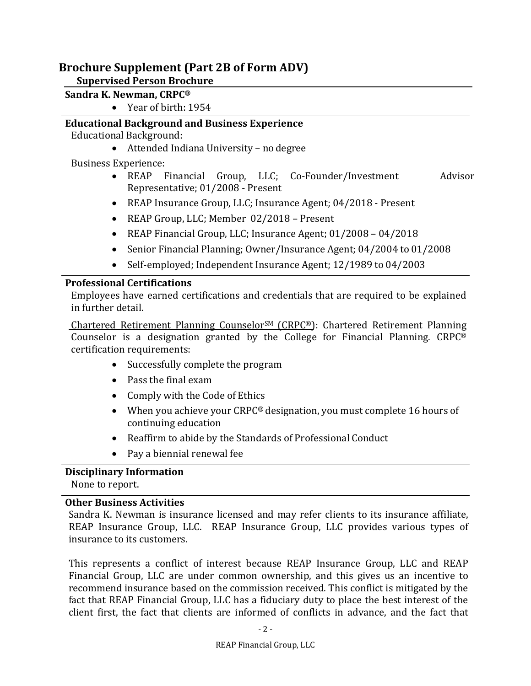## **Supervised Person Brochure**

## **Sandra K. Newman, CRPC®**

Year of birth: 1954

# **Educational Background and Business Experience**

Educational Background:

Attended Indiana University – no degree

Business Experience:

- REAP Financial Group, LLC; Co-Founder/Investment Advisor Representative; 01/2008 - Present
- REAP Insurance Group, LLC; Insurance Agent; 04/2018 Present
- REAP Group, LLC; Member 02/2018 Present
- REAP Financial Group, LLC; Insurance Agent; 01/2008 04/2018
- Senior Financial Planning; Owner/Insurance Agent; 04/2004 to 01/2008
- Self-employed; Independent Insurance Agent; 12/1989 to 04/2003

## **Professional Certifications**

Employees have earned certifications and credentials that are required to be explained in further detail.

Chartered Retirement Planning CounselorSM (CRPC®): Chartered Retirement Planning Counselor is a designation granted by the College for Financial Planning. CRPC® certification requirements:

- Successfully complete the program
- Pass the final exam
- Comply with the Code of Ethics
- When you achieve your CRPC® designation, you must complete 16 hours of continuing education
- Reaffirm to abide by the Standards of Professional Conduct
- Pay a biennial renewal fee

## **Disciplinary Information**

None to report.

## **Other Business Activities**

Sandra K. Newman is insurance licensed and may refer clients to its insurance affiliate, REAP Insurance Group, LLC. REAP Insurance Group, LLC provides various types of insurance to its customers.

This represents a conflict of interest because REAP Insurance Group, LLC and REAP Financial Group, LLC are under common ownership, and this gives us an incentive to recommend insurance based on the commission received. This conflict is mitigated by the fact that REAP Financial Group, LLC has a fiduciary duty to place the best interest of the client first, the fact that clients are informed of conflicts in advance, and the fact that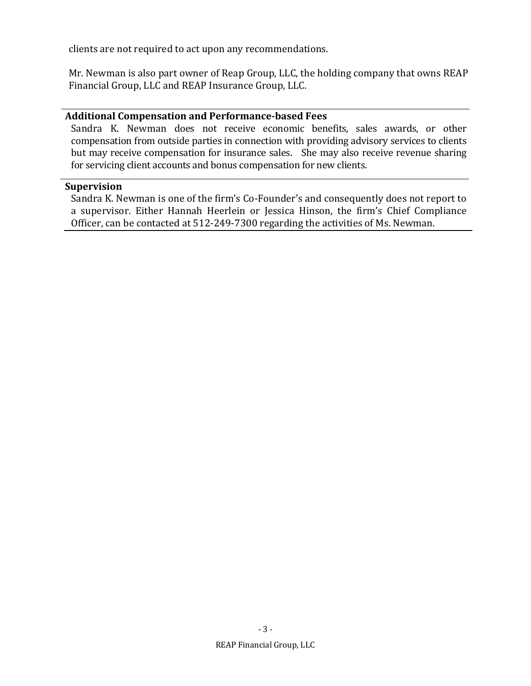clients are not required to act upon any recommendations.

Mr. Newman is also part owner of Reap Group, LLC, the holding company that owns REAP Financial Group, LLC and REAP Insurance Group, LLC.

#### **Additional Compensation and Performance‐based Fees**

Sandra K. Newman does not receive economic benefits, sales awards, or other compensation from outside parties in connection with providing advisory services to clients but may receive compensation for insurance sales. She may also receive revenue sharing for servicing client accounts and bonus compensation for new clients.

#### **Supervision**

Sandra K. Newman is one of the firm's Co-Founder's and consequently does not report to a supervisor. Either Hannah Heerlein or Jessica Hinson, the firm's Chief Compliance Officer, can be contacted at 512-249-7300 regarding the activities of Ms. Newman.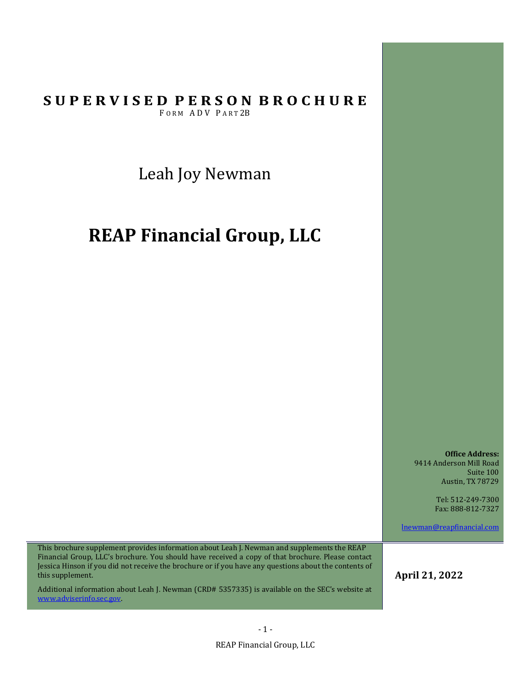Leah Joy Newman

# **REAP Financial Group, LLC**

**Office Address:** 9414 Anderson Mill Road Suite 100 Austin, TX 78729

> Tel: 512-249-7300 Fax: 888-812-7327

lnewman@reapfinancial.com

This brochure supplement provides information about Leah J. Newman and supplements the REAP Financial Group, LLC's brochure. You should have received a copy of that brochure. Please contact Jessica Hinson if you did not receive the brochure or if you have any questions about the contents of this supplement.

Additional information about Leah J. Newman (CRD# 5357335) is available on the SEC's website at www.adviserinfo.sec.gov.

**April 21, 2022**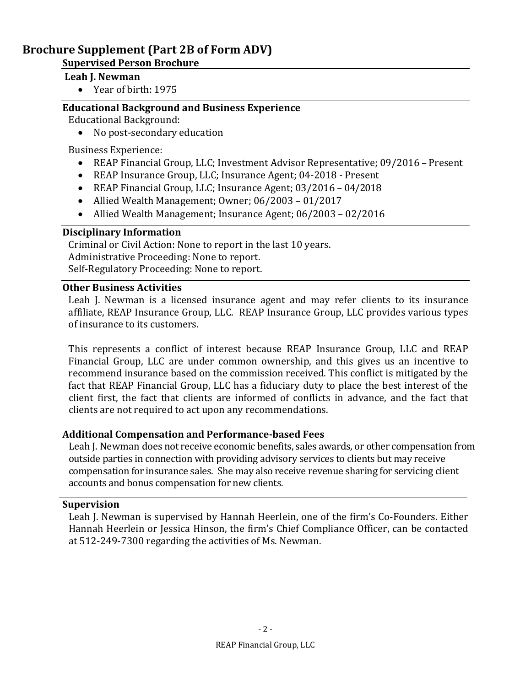## **Supervised Person Brochure**

#### **Leah J. Newman**

Year of birth: 1975

## **Educational Background and Business Experience**

Educational Background:

• No post-secondary education

Business Experience:

- REAP Financial Group, LLC; Investment Advisor Representative; 09/2016 Present
- REAP Insurance Group, LLC; Insurance Agent; 04-2018 Present
- REAP Financial Group, LLC; Insurance Agent; 03/2016 04/2018
- Allied Wealth Management; Owner; 06/2003 01/2017
- Allied Wealth Management; Insurance Agent; 06/2003 02/2016

## **Disciplinary Information**

Criminal or Civil Action: None to report in the last 10 years. Administrative Proceeding: None to report. Self-Regulatory Proceeding: None to report.

## **Other Business Activities**

Leah J. Newman is a licensed insurance agent and may refer clients to its insurance affiliate, REAP Insurance Group, LLC. REAP Insurance Group, LLC provides various types of insurance to its customers.

This represents a conflict of interest because REAP Insurance Group, LLC and REAP Financial Group, LLC are under common ownership, and this gives us an incentive to recommend insurance based on the commission received. This conflict is mitigated by the fact that REAP Financial Group, LLC has a fiduciary duty to place the best interest of the client first, the fact that clients are informed of conflicts in advance, and the fact that clients are not required to act upon any recommendations.

## **Additional Compensation and Performance‐based Fees**

Leah J. Newman does not receive economic benefits, sales awards, or other compensation from outside parties in connection with providing advisory services to clients but may receive compensation for insurance sales. She may also receive revenue sharing for servicing client accounts and bonus compensation for new clients.

## **Supervision**

Leah J. Newman is supervised by Hannah Heerlein, one of the firm's Co-Founders. Either Hannah Heerlein or Jessica Hinson, the firm's Chief Compliance Officer, can be contacted at 512-249-7300 regarding the activities of Ms. Newman.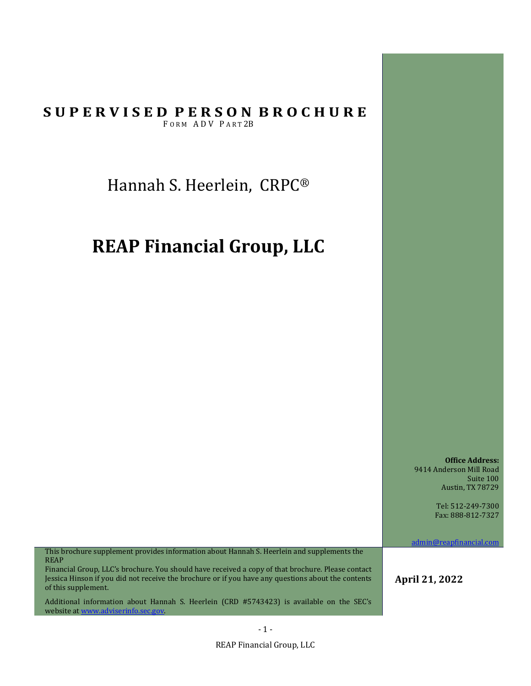Hannah S. Heerlein, CRPC®

# **REAP Financial Group, LLC**

**Office Address:** 9414 Anderson Mill Road Suite 100 Austin, TX 78729

> Tel: 512-249-7300 Fax: 888-812-7327

admin@reapfinancial.com

This brochure supplement provides information about Hannah S. Heerlein and supplements the REAP

Financial Group, LLC's brochure. You should have received a copy of that brochure. Please contact Jessica Hinson if you did not receive the brochure or if you have any questions about the contents of this supplement.

Additional information about Hannah S. Heerlein (CRD #5743423) is available on the SEC's website at www.adviserinfo.sec.gov

**April 21, 2022** 

REAP Financial Group, LLC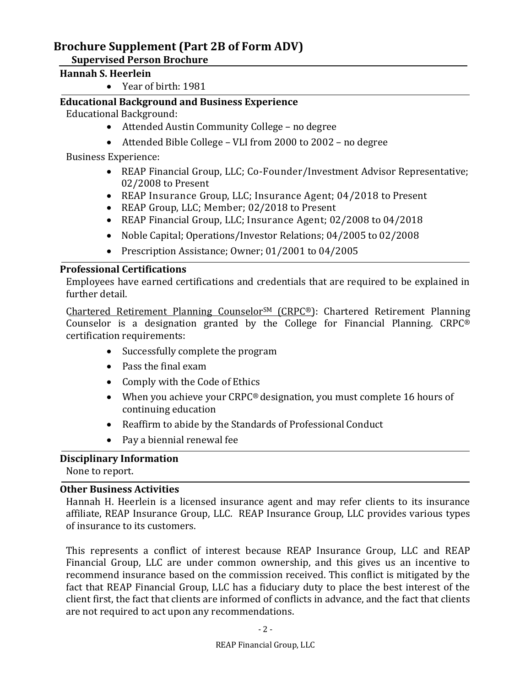## **Supervised Person Brochure**

## **Hannah S. Heerlein**

Year of birth: 1981

## **Educational Background and Business Experience**

Educational Background:

- Attended Austin Community College no degree
- Attended Bible College VLI from 2000 to 2002 no degree

Business Experience:

- REAP Financial Group, LLC; Co-Founder/Investment Advisor Representative; 02/2008 to Present
- REAP Insurance Group, LLC; Insurance Agent; 04/2018 to Present
- REAP Group, LLC; Member; 02/2018 to Present
- REAP Financial Group, LLC; Insurance Agent; 02/2008 to 04/2018
- Noble Capital; Operations/Investor Relations; 04/2005 to 02/2008
- Prescription Assistance; Owner; 01/2001 to 04/2005

## **Professional Certifications**

Employees have earned certifications and credentials that are required to be explained in further detail.

Chartered Retirement Planning CounselorSM (CRPC®): Chartered Retirement Planning Counselor is a designation granted by the College for Financial Planning. CRPC® certification requirements:

- Successfully complete the program
- Pass the final exam
- Comply with the Code of Ethics
- When you achieve your CRPC® designation, you must complete 16 hours of continuing education
- Reaffirm to abide by the Standards of Professional Conduct
- Pay a biennial renewal fee

## **Disciplinary Information**

None to report.

## **Other Business Activities**

Hannah H. Heerlein is a licensed insurance agent and may refer clients to its insurance affiliate, REAP Insurance Group, LLC. REAP Insurance Group, LLC provides various types of insurance to its customers.

This represents a conflict of interest because REAP Insurance Group, LLC and REAP Financial Group, LLC are under common ownership, and this gives us an incentive to recommend insurance based on the commission received. This conflict is mitigated by the fact that REAP Financial Group, LLC has a fiduciary duty to place the best interest of the client first, the fact that clients are informed of conflicts in advance, and the fact that clients are not required to act upon any recommendations.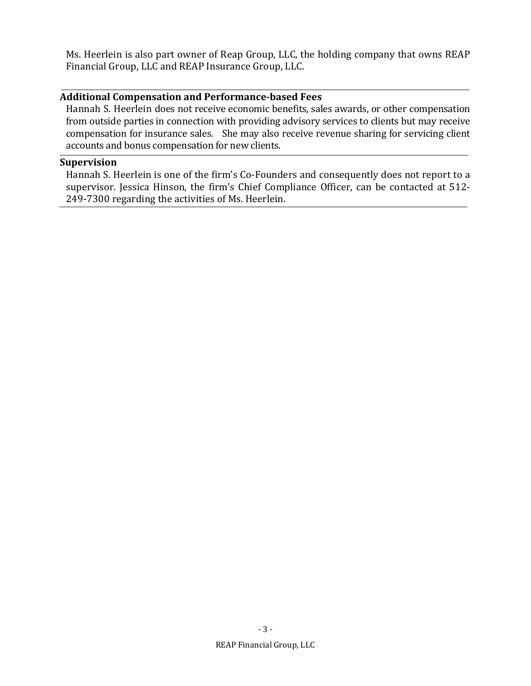Ms. Heerlein is also part owner of Reap Group, LLC, the holding company that owns REAP Financial Group, LLC and REAP Insurance Group, LLC.

#### **Additional Compensation and Performance‐based Fees**

Hannah S. Heerlein does not receive economic benefits, sales awards, or other compensation from outside parties in connection with providing advisory services to clients but may receive compensation for insurance sales. She may also receive revenue sharing for servicing client accounts and bonus compensation for new clients.

#### **Supervision**

Hannah S. Heerlein is one of the firm's Co-Founders and consequently does not report to a supervisor. Jessica Hinson, the firm's Chief Compliance Officer, can be contacted at 512- 249-7300 regarding the activities of Ms. Heerlein.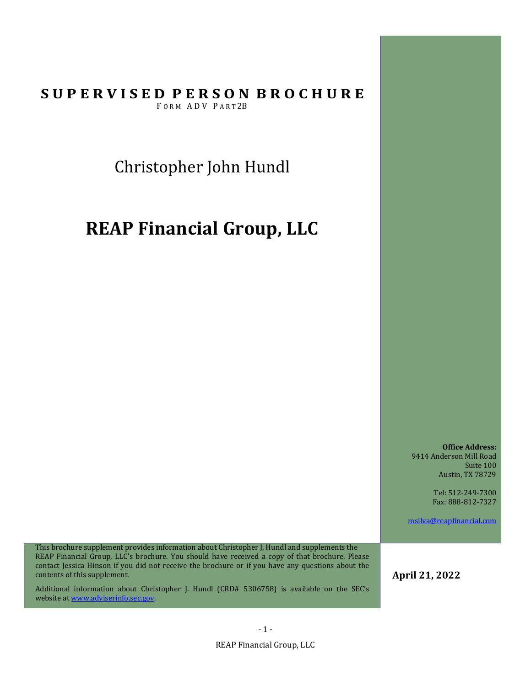Christopher John Hundl

# **REAP Financial Group, LLC**

**Office Address:** 9414 Anderson Mill Road Suite 100 Austin, TX 78729

> Tel: 512-249-7300 Fax: 888-812-7327

msilva@reapfinancial.com

This brochure supplement provides information about Christopher J. Hundl and supplements the REAP Financial Group, LLC's brochure. You should have received a copy of that brochure. Please contact Jessica Hinson if you did not receive the brochure or if you have any questions about the contents of this supplement.

Additional information about Christopher J. Hundl (CRD# 5306758) is available on the SEC's website at www.adviserinfo.sec.gov.

**April 21, 2022**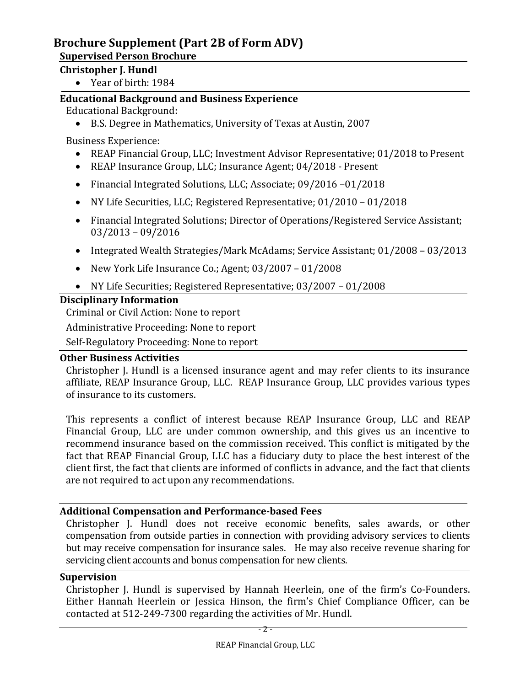## **Supervised Person Brochure**

## **Christopher J. Hundl**

Year of birth: 1984

## **Educational Background and Business Experience**

Educational Background:

B.S. Degree in Mathematics, University of Texas at Austin, 2007

Business Experience:

- REAP Financial Group, LLC; Investment Advisor Representative; 01/2018 to Present
- REAP Insurance Group, LLC; Insurance Agent; 04/2018 Present
- Financial Integrated Solutions, LLC; Associate; 09/2016 –01/2018
- NY Life Securities, LLC; Registered Representative; 01/2010 01/2018
- Financial Integrated Solutions; Director of Operations/Registered Service Assistant; 03/2013 – 09/2016
- Integrated Wealth Strategies/Mark McAdams; Service Assistant; 01/2008 03/2013
- New York Life Insurance Co.; Agent; 03/2007 01/2008
- NY Life Securities; Registered Representative; 03/2007 01/2008

## **Disciplinary Information**

Criminal or Civil Action: None to report

Administrative Proceeding: None to report

Self-Regulatory Proceeding: None to report

## **Other Business Activities**

Christopher J. Hundl is a licensed insurance agent and may refer clients to its insurance affiliate, REAP Insurance Group, LLC. REAP Insurance Group, LLC provides various types of insurance to its customers.

This represents a conflict of interest because REAP Insurance Group, LLC and REAP Financial Group, LLC are under common ownership, and this gives us an incentive to recommend insurance based on the commission received. This conflict is mitigated by the fact that REAP Financial Group, LLC has a fiduciary duty to place the best interest of the client first, the fact that clients are informed of conflicts in advance, and the fact that clients are not required to act upon any recommendations.

## **Additional Compensation and Performance‐based Fees**

Christopher J. Hundl does not receive economic benefits, sales awards, or other compensation from outside parties in connection with providing advisory services to clients but may receive compensation for insurance sales. He may also receive revenue sharing for servicing client accounts and bonus compensation for new clients.

## **Supervision**

Christopher J. Hundl is supervised by Hannah Heerlein, one of the firm's Co-Founders. Either Hannah Heerlein or Jessica Hinson, the firm's Chief Compliance Officer, can be contacted at 512-249-7300 regarding the activities of Mr. Hundl.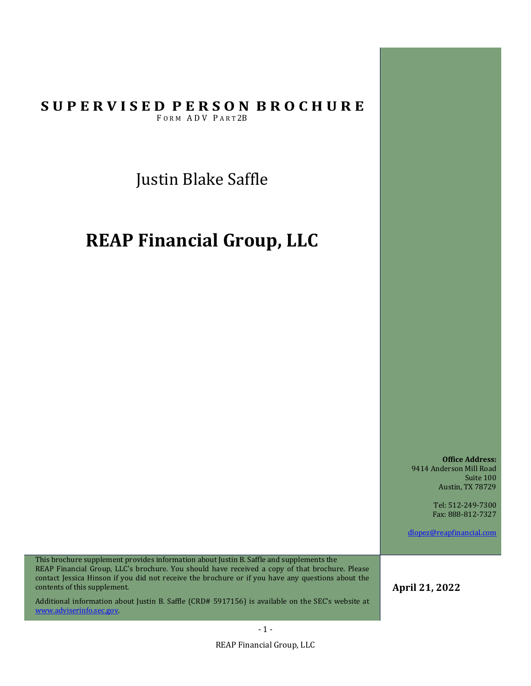Justin Blake Saffle

# **REAP Financial Group, LLC**

**Office Address:** 9414 Anderson Mill Road Suite 100 Austin, TX 78729

> Tel: 512-249-7300 Fax: 888-812-7327

dlopez@reapfinancial.com

This brochure supplement provides information about Justin B. Saffle and supplements the REAP Financial Group, LLC's brochure. You should have received a copy of that brochure. Please contact Jessica Hinson if you did not receive the brochure or if you have any questions about the contents of this supplement.

Additional information about Justin B. Saffle (CRD# 5917156) is available on the SEC's website at www.adviserinfo.sec.gov.

**April 21, 2022**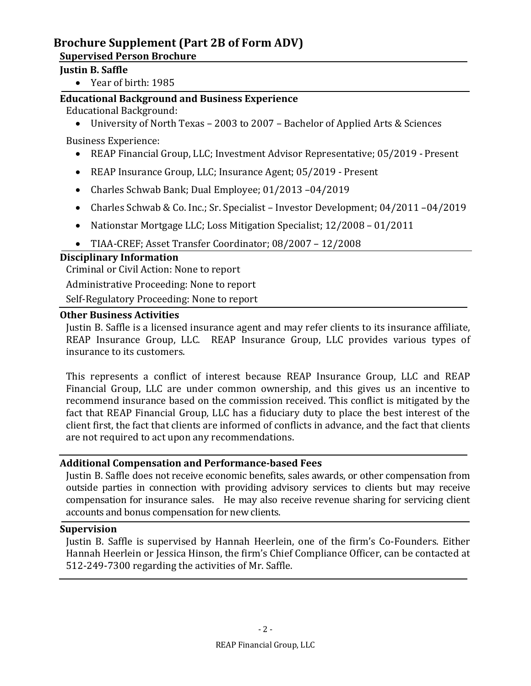## **Supervised Person Brochure**

## **Justin B. Saffle**

Year of birth: 1985

## **Educational Background and Business Experience**

Educational Background:

University of North Texas – 2003 to 2007 – Bachelor of Applied Arts & Sciences

Business Experience:

- REAP Financial Group, LLC; Investment Advisor Representative; 05/2019 Present
- REAP Insurance Group, LLC; Insurance Agent; 05/2019 Present
- Charles Schwab Bank; Dual Employee; 01/2013 –04/2019
- Charles Schwab & Co. Inc.; Sr. Specialist Investor Development; 04/2011 –04/2019
- Nationstar Mortgage LLC; Loss Mitigation Specialist; 12/2008 01/2011
- TIAA-CREF; Asset Transfer Coordinator; 08/2007 12/2008

## **Disciplinary Information**

Criminal or Civil Action: None to report

Administrative Proceeding: None to report

Self-Regulatory Proceeding: None to report

## **Other Business Activities**

Justin B. Saffle is a licensed insurance agent and may refer clients to its insurance affiliate, REAP Insurance Group, LLC. REAP Insurance Group, LLC provides various types of insurance to its customers.

This represents a conflict of interest because REAP Insurance Group, LLC and REAP Financial Group, LLC are under common ownership, and this gives us an incentive to recommend insurance based on the commission received. This conflict is mitigated by the fact that REAP Financial Group, LLC has a fiduciary duty to place the best interest of the client first, the fact that clients are informed of conflicts in advance, and the fact that clients are not required to act upon any recommendations.

## **Additional Compensation and Performance‐based Fees**

Justin B. Saffle does not receive economic benefits, sales awards, or other compensation from outside parties in connection with providing advisory services to clients but may receive compensation for insurance sales. He may also receive revenue sharing for servicing client accounts and bonus compensation for new clients.

## **Supervision**

Justin B. Saffle is supervised by Hannah Heerlein, one of the firm's Co-Founders. Either Hannah Heerlein or Jessica Hinson, the firm's Chief Compliance Officer, can be contacted at 512-249-7300 regarding the activities of Mr. Saffle.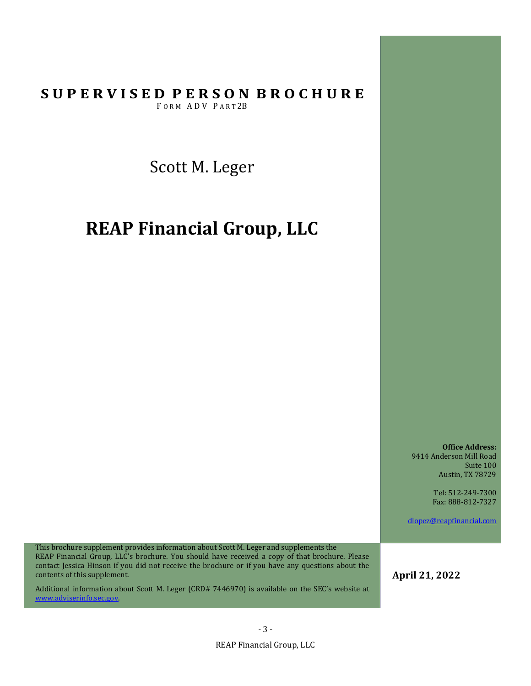Scott M. Leger

# **REAP Financial Group, LLC**

**Office Address:** 9414 Anderson Mill Road Suite 100 Austin, TX 78729

> Tel: 512-249-7300 Fax: 888-812-7327

dlopez@reapfinancial.com

This brochure supplement provides information about Scott M. Leger and supplements the REAP Financial Group, LLC's brochure. You should have received a copy of that brochure. Please contact Jessica Hinson if you did not receive the brochure or if you have any questions about the contents of this supplement.

Additional information about Scott M. Leger (CRD# 7446970) is available on the SEC's website at www.adviserinfo.sec.gov.

**April 21, 2022**